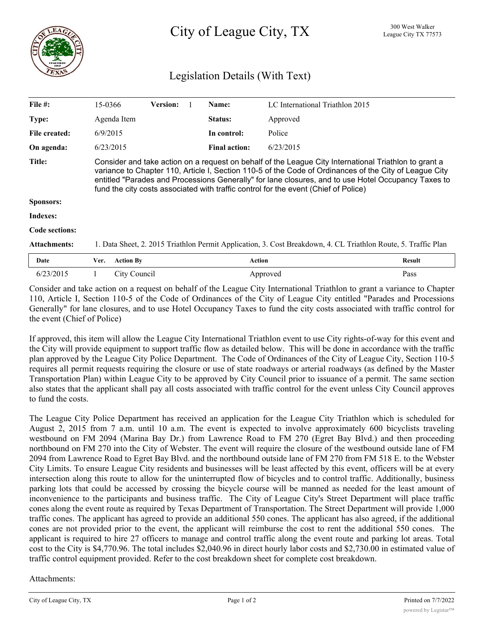

## Legislation Details (With Text)

| File #:             | 15-0366                                                                                                                                                                                                                                                                                                                                                                                                       | <b>Version:</b> |  | Name:                | LC International Triathlon 2015 |               |
|---------------------|---------------------------------------------------------------------------------------------------------------------------------------------------------------------------------------------------------------------------------------------------------------------------------------------------------------------------------------------------------------------------------------------------------------|-----------------|--|----------------------|---------------------------------|---------------|
| Type:               | Agenda Item                                                                                                                                                                                                                                                                                                                                                                                                   |                 |  | Status:              | Approved                        |               |
| File created:       | 6/9/2015                                                                                                                                                                                                                                                                                                                                                                                                      |                 |  | In control:          | Police                          |               |
| On agenda:          | 6/23/2015                                                                                                                                                                                                                                                                                                                                                                                                     |                 |  | <b>Final action:</b> | 6/23/2015                       |               |
| <b>Title:</b>       | Consider and take action on a request on behalf of the League City International Triathlon to grant a<br>variance to Chapter 110, Article I, Section 110-5 of the Code of Ordinances of the City of League City<br>entitled "Parades and Processions Generally" for lane closures, and to use Hotel Occupancy Taxes to<br>fund the city costs associated with traffic control for the event (Chief of Police) |                 |  |                      |                                 |               |
| <b>Sponsors:</b>    |                                                                                                                                                                                                                                                                                                                                                                                                               |                 |  |                      |                                 |               |
| <b>Indexes:</b>     |                                                                                                                                                                                                                                                                                                                                                                                                               |                 |  |                      |                                 |               |
| Code sections:      |                                                                                                                                                                                                                                                                                                                                                                                                               |                 |  |                      |                                 |               |
| <b>Attachments:</b> | 1. Data Sheet, 2. 2015 Triathlon Permit Application, 3. Cost Breakdown, 4. CL Triathlon Route, 5. Traffic Plan                                                                                                                                                                                                                                                                                                |                 |  |                      |                                 |               |
| Date                | <b>Action By</b><br>Ver.                                                                                                                                                                                                                                                                                                                                                                                      |                 |  | <b>Action</b>        |                                 | <b>Result</b> |
| 6/23/2015           | City Council                                                                                                                                                                                                                                                                                                                                                                                                  |                 |  |                      | Approved                        | Pass          |

Consider and take action on a request on behalf of the League City International Triathlon to grant a variance to Chapter 110, Article I, Section 110-5 of the Code of Ordinances of the City of League City entitled "Parades and Processions Generally" for lane closures, and to use Hotel Occupancy Taxes to fund the city costs associated with traffic control for the event (Chief of Police)

If approved, this item will allow the League City International Triathlon event to use City rights-of-way for this event and the City will provide equipment to support traffic flow as detailed below. This will be done in accordance with the traffic plan approved by the League City Police Department. The Code of Ordinances of the City of League City, Section 110-5 requires all permit requests requiring the closure or use of state roadways or arterial roadways (as defined by the Master Transportation Plan) within League City to be approved by City Council prior to issuance of a permit. The same section also states that the applicant shall pay all costs associated with traffic control for the event unless City Council approves to fund the costs.

The League City Police Department has received an application for the League City Triathlon which is scheduled for August 2, 2015 from 7 a.m. until 10 a.m. The event is expected to involve approximately 600 bicyclists traveling westbound on FM 2094 (Marina Bay Dr.) from Lawrence Road to FM 270 (Egret Bay Blvd.) and then proceeding northbound on FM 270 into the City of Webster. The event will require the closure of the westbound outside lane of FM 2094 from Lawrence Road to Egret Bay Blvd. and the northbound outside lane of FM 270 from FM 518 E. to the Webster City Limits. To ensure League City residents and businesses will be least affected by this event, officers will be at every intersection along this route to allow for the uninterrupted flow of bicycles and to control traffic. Additionally, business parking lots that could be accessed by crossing the bicycle course will be manned as needed for the least amount of inconvenience to the participants and business traffic. The City of League City's Street Department will place traffic cones along the event route as required by Texas Department of Transportation. The Street Department will provide 1,000 traffic cones. The applicant has agreed to provide an additional 550 cones. The applicant has also agreed, if the additional cones are not provided prior to the event, the applicant will reimburse the cost to rent the additional 550 cones. The applicant is required to hire 27 officers to manage and control traffic along the event route and parking lot areas. Total cost to the City is \$4,770.96. The total includes \$2,040.96 in direct hourly labor costs and \$2,730.00 in estimated value of traffic control equipment provided. Refer to the cost breakdown sheet for complete cost breakdown.

## Attachments: